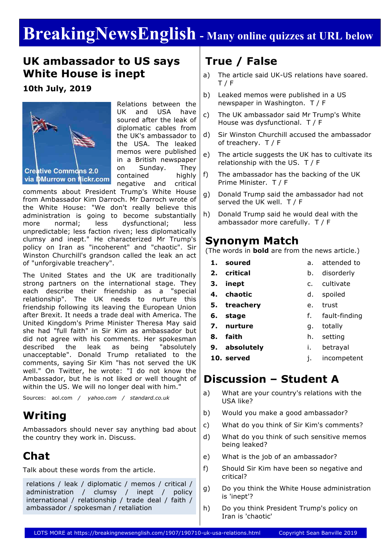# **BreakingNewsEnglish - Many online quizzes at URL below**

### **UK ambassador to US says White House is inept**

#### **10th July, 2019**



Relations between the UK and USA have soured after the leak of diplomatic cables from the UK's ambassador to the USA. The leaked memos were published in a British newspaper on Sunday. They contained highly negative and critical

comments about President Trump's White House from Ambassador Kim Darroch. Mr Darroch wrote of the White House: "We don't really believe this administration is going to become substantially more normal; less dysfunctional; less unpredictable; less faction riven; less diplomatically clumsy and inept." He characterized Mr Trump's policy on Iran as "incoherent" and "chaotic". Sir Winston Churchill's grandson called the leak an act of "unforgivable treachery".

The United States and the UK are traditionally strong partners on the international stage. They each describe their friendship as a "special relationship". The UK needs to nurture this friendship following its leaving the European Union after Brexit. It needs a trade deal with America. The United Kingdom's Prime Minister Theresa May said she had "full faith" in Sir Kim as ambassador but did not agree with his comments. Her spokesman described the leak as being "absolutely unacceptable". Donald Trump retaliated to the comments, saying Sir Kim "has not served the UK well." On Twitter, he wrote: "I do not know the Ambassador, but he is not liked or well thought of within the US. We will no longer deal with him."

Sources: aol.com */ yahoo.com / standard.co.uk*

### **Writing**

Ambassadors should never say anything bad about the country they work in. Discuss.

## **Chat**

Talk about these words from the article.

relations / leak / diplomatic / memos / critical / administration / clumsy / inept / policy international / relationship / trade deal / faith / ambassador / spokesman / retaliation

## **True / False**

- a) The article said UK-US relations have soared. T / F
- b) Leaked memos were published in a US newspaper in Washington. T / F
- c) The UK ambassador said Mr Trump's White House was dysfunctional. T / F
- d) Sir Winston Churchill accused the ambassador of treachery. T / F
- e) The article suggests the UK has to cultivate its relationship with the US. T / F
- f) The ambassador has the backing of the UK Prime Minister. T / F
- g) Donald Trump said the ambassador had not served the UK well. T / F
- h) Donald Trump said he would deal with the ambassador more carefully. T / F

#### **Synonym Match**

(The words in **bold** are from the news article.)

- **1. soured**
	- b. disorderly
	-
- **3. inept** c. cultivate
- **4. chaotic** d. spoiled
- **5. treachery** e. trust
	- f. fault-finding
- **7. nurture** g. totally
- **8. faith** h. setting
- **9. absolutely** i. betrayal
- **10. served**

**2. critical**

**6. stage**

j. incompetent

a. attended to

### **Discussion – Student A**

- a) What are your country's relations with the USA like?
- b) Would you make a good ambassador?
- c) What do you think of Sir Kim's comments?
- d) What do you think of such sensitive memos being leaked?
- e) What is the job of an ambassador?
- f) Should Sir Kim have been so negative and critical?
- g) Do you think the White House administration is 'inept'?
- h) Do you think President Trump's policy on Iran is 'chaotic'